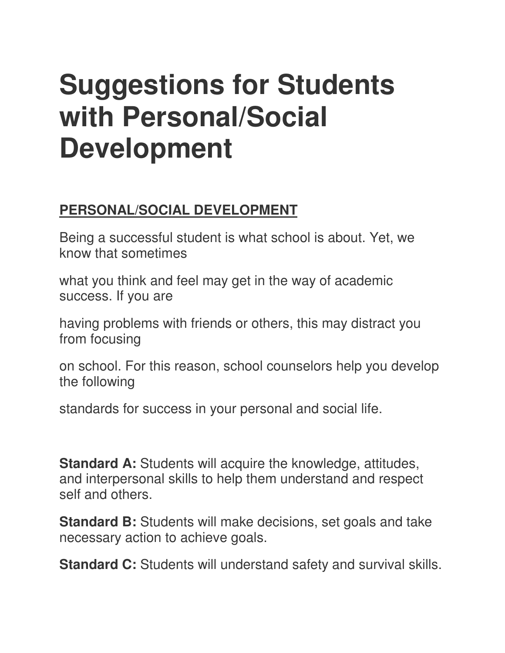# **Suggestions for Students with Personal/Social Development**

## **PERSONAL/SOCIAL DEVELOPMENT**

Being a successful student is what school is about. Yet, we know that sometimes

what you think and feel may get in the way of academic success. If you are

having problems with friends or others, this may distract you from focusing

on school. For this reason, school counselors help you develop the following

standards for success in your personal and social life.

**Standard A:** Students will acquire the knowledge, attitudes, and interpersonal skills to help them understand and respect self and others.

**Standard B:** Students will make decisions, set goals and take necessary action to achieve goals.

**Standard C:** Students will understand safety and survival skills.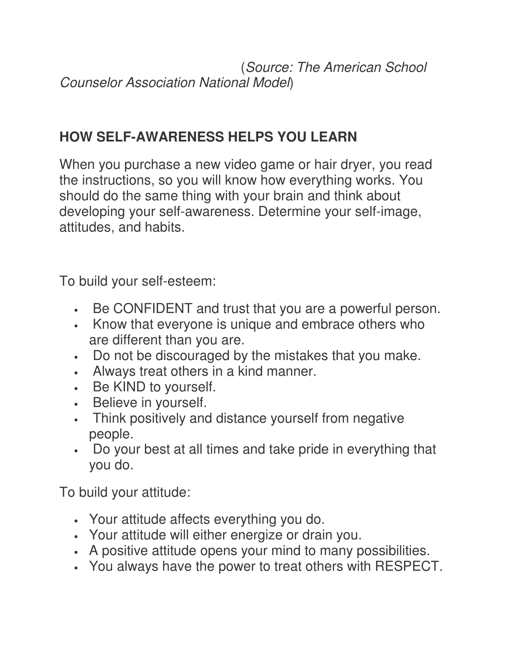(Source: The American School Counselor Association National Model)

### **HOW SELF-AWARENESS HELPS YOU LEARN**

When you purchase a new video game or hair dryer, you read the instructions, so you will know how everything works. You should do the same thing with your brain and think about developing your self-awareness. Determine your self-image, attitudes, and habits.

To build your self-esteem:

- Be CONFIDENT and trust that you are a powerful person.
- Know that everyone is unique and embrace others who are different than you are.
- Do not be discouraged by the mistakes that you make.
- Always treat others in a kind manner.
- Be KIND to yourself.
- Believe in yourself.
- Think positively and distance yourself from negative people.
- Do your best at all times and take pride in everything that you do.

To build your attitude:

- Your attitude affects everything you do.
- Your attitude will either energize or drain you.
- A positive attitude opens your mind to many possibilities.
- You always have the power to treat others with RESPECT.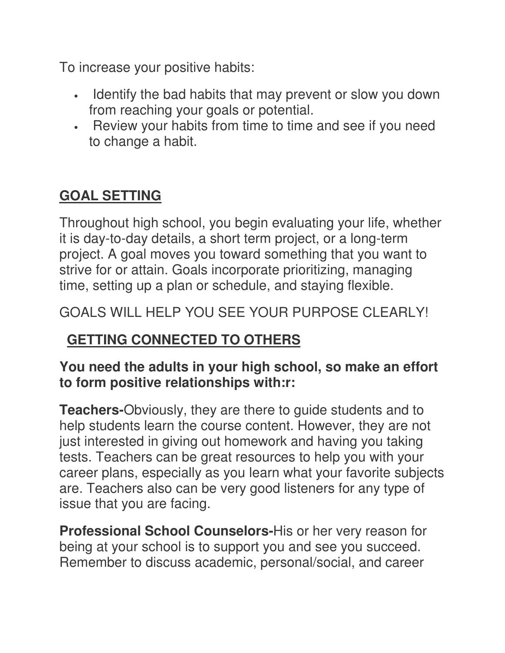To increase your positive habits:

- Identify the bad habits that may prevent or slow you down from reaching your goals or potential.
- Review your habits from time to time and see if you need to change a habit.

## **GOAL SETTING**

Throughout high school, you begin evaluating your life, whether it is day-to-day details, a short term project, or a long-term project. A goal moves you toward something that you want to strive for or attain. Goals incorporate prioritizing, managing time, setting up a plan or schedule, and staying flexible.

### GOALS WILL HELP YOU SEE YOUR PURPOSE CLEARLY!

## **GETTING CONNECTED TO OTHERS**

#### **You need the adults in your high school, so make an effort to form positive relationships with:r:**

**Teachers-**Obviously, they are there to guide students and to help students learn the course content. However, they are not just interested in giving out homework and having you taking tests. Teachers can be great resources to help you with your career plans, especially as you learn what your favorite subjects are. Teachers also can be very good listeners for any type of issue that you are facing.

**Professional School Counselors-**His or her very reason for being at your school is to support you and see you succeed. Remember to discuss academic, personal/social, and career